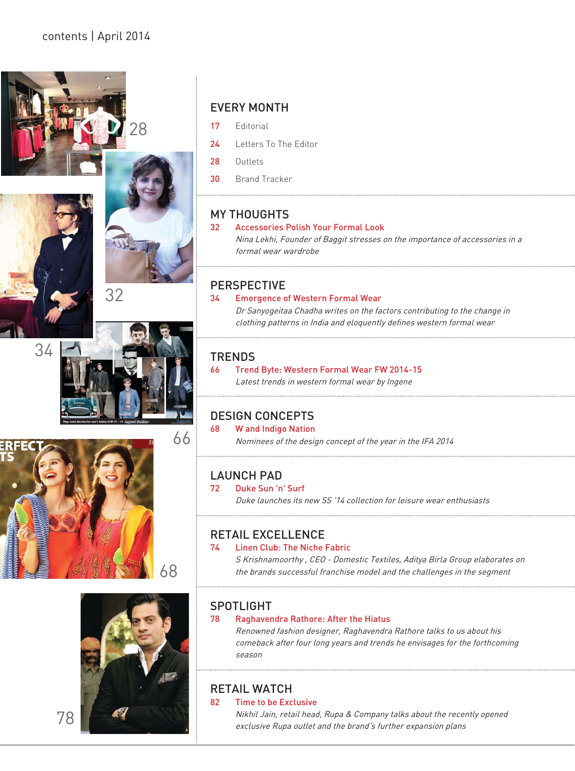







# 68



#### EVERY MONTH

- 17 Editorial
- 24 Letters To The Editor
- 28 Outlets
- 30 Brand Tracker

#### MY THOUGHTS

#### 32 Accessories Polish Your Formal Look

Nina Lekhi, Founder of Baggit stresses on the importance of accessories in a formal wear wardrobe

#### PERSPECTIVE

#### 34 Emergence of Western Formal Wear

Dr Sanyogeitaa Chadha writes on the factors contributing to the change in clothing patterns in India and eloquently defines western formal wear

#### **TRENDS**

66 Trend Byte: Western Formal Wear FW 2014-15 Latest trends in western formal wear by Ingene

#### DESIGN CONCEPTS

#### 68 W and Indigo Nation

Nominees of the design concept of the year in the IFA 2014

#### LAUNCH PAD

#### 72 Duke Sun 'n' Surf

Duke launches its new SS '14 collection for leisure wear enthusiasts

#### RETAIL EXCELLENCE

#### 74 Linen Club: The Niche Fabric

S Krishnamoorthy , CEO - Domestic Textiles, Aditya Birla Group elaborates on the brands successful franchise model and the challenges in the segment

#### SPOTLIGHT

#### 78 Raghavendra Rathore: After the Hiatus

Renowned fashion designer, Raghavendra Rathore talks to us about his comeback after four long years and trends he envisages for the forthcoming season

#### RETAIL WATCH

82 Time to be Exclusive

Nikhil Jain, retail head, Rupa & Company talks about the recently opened exclusive Rupa outlet and the brand's further expansion plans

78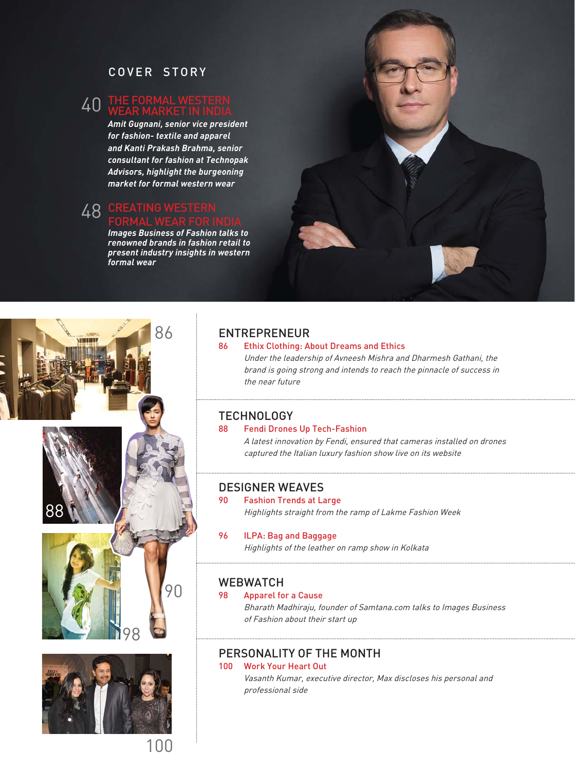#### COVER STORY

#### 40 THE FORMAL WESTERN<br>WEAR MARKET IN INDIA WEAR MARKET IN INDIA

*Amit Gugnani, senior vice president for fashion- textile and apparel and Kanti Prakash Brahma, senior consultant for fashion at Technopak Advisors, highlight the burgeoning market for formal western wear*

#### 48 CREATING WESTERN FORMAL WEAR FOR INDIA

*Images Business of Fashion talks to renowned brands in fashion retail to present industry insights in western formal wear* 





# 86 ENTREPRENEUR<br>86 Ethix Clothing: Al

#### **Ethix Clothing: About Dreams and Ethics**

Under the leadership of Avneesh Mishra and Dharmesh Gathani, the brand is going strong and intends to reach the pinnacle of success in the near future

## TECHNOLOGY<br>88 Fendi Drone

#### Fendi Drones Up Tech-Fashion

A latest innovation by Fendi, ensured that cameras installed on drones captured the Italian luxury fashion show live on its website

#### DESIGNER WEAVES

#### 90 Fashion Trends at Large

Highlights straight from the ramp of Lakme Fashion Week

#### 96 **ILPA: Bag and Baggage**

Highlights of the leather on ramp show in Kolkata

## WEBWATCH

#### Apparel for a Cause

Bharath Madhiraju, founder of Samtana.com talks to Images Business of Fashion about their start up

#### PERSONALITY OF THE MONTH

#### 100 Work Your Heart Out

Vasanth Kumar, executive director, Max discloses his personal and professional side

1በ0